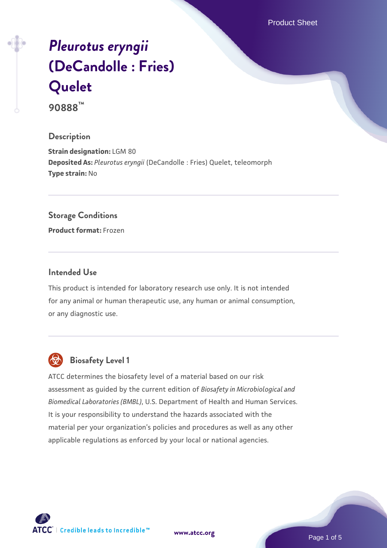Product Sheet

# *[Pleurotus eryngii](https://www.atcc.org/products/90888)* **[\(DeCandolle : Fries\)](https://www.atcc.org/products/90888) [Quelet](https://www.atcc.org/products/90888)**

**90888™**

# **Description**

**Strain designation:** LGM 80 **Deposited As:** *Pleurotus eryngii* (DeCandolle : Fries) Quelet, teleomorph **Type strain:** No

#### **Storage Conditions**

**Product format:** Frozen

## **Intended Use**

This product is intended for laboratory research use only. It is not intended for any animal or human therapeutic use, any human or animal consumption, or any diagnostic use.



# **Biosafety Level 1**

ATCC determines the biosafety level of a material based on our risk assessment as guided by the current edition of *Biosafety in Microbiological and Biomedical Laboratories (BMBL)*, U.S. Department of Health and Human Services. It is your responsibility to understand the hazards associated with the material per your organization's policies and procedures as well as any other applicable regulations as enforced by your local or national agencies.

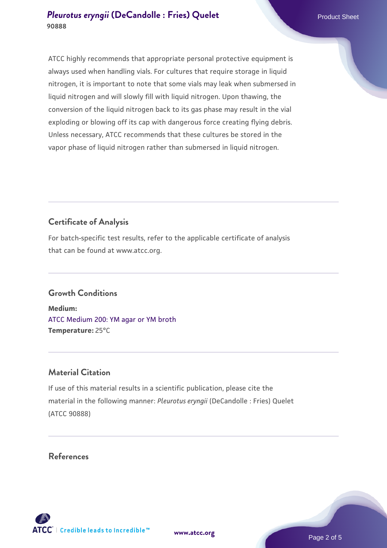ATCC highly recommends that appropriate personal protective equipment is always used when handling vials. For cultures that require storage in liquid nitrogen, it is important to note that some vials may leak when submersed in liquid nitrogen and will slowly fill with liquid nitrogen. Upon thawing, the conversion of the liquid nitrogen back to its gas phase may result in the vial exploding or blowing off its cap with dangerous force creating flying debris. Unless necessary, ATCC recommends that these cultures be stored in the vapor phase of liquid nitrogen rather than submersed in liquid nitrogen.

# **Certificate of Analysis**

For batch-specific test results, refer to the applicable certificate of analysis that can be found at www.atcc.org.

# **Growth Conditions**

**Medium:**  [ATCC Medium 200: YM agar or YM broth](https://www.atcc.org/-/media/product-assets/documents/microbial-media-formulations/2/0/0/atcc-medium-200.pdf?rev=ac40fd74dc13433a809367b0b9da30fc) **Temperature:** 25°C

#### **Material Citation**

If use of this material results in a scientific publication, please cite the material in the following manner: *Pleurotus eryngii* (DeCandolle : Fries) Quelet (ATCC 90888)

#### **References**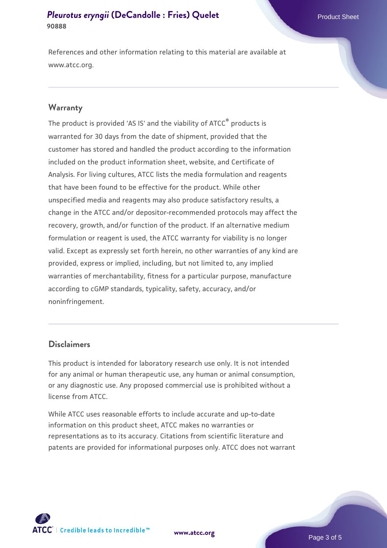References and other information relating to this material are available at www.atcc.org.

#### **Warranty**

The product is provided 'AS IS' and the viability of ATCC® products is warranted for 30 days from the date of shipment, provided that the customer has stored and handled the product according to the information included on the product information sheet, website, and Certificate of Analysis. For living cultures, ATCC lists the media formulation and reagents that have been found to be effective for the product. While other unspecified media and reagents may also produce satisfactory results, a change in the ATCC and/or depositor-recommended protocols may affect the recovery, growth, and/or function of the product. If an alternative medium formulation or reagent is used, the ATCC warranty for viability is no longer valid. Except as expressly set forth herein, no other warranties of any kind are provided, express or implied, including, but not limited to, any implied warranties of merchantability, fitness for a particular purpose, manufacture according to cGMP standards, typicality, safety, accuracy, and/or noninfringement.

#### **Disclaimers**

This product is intended for laboratory research use only. It is not intended for any animal or human therapeutic use, any human or animal consumption, or any diagnostic use. Any proposed commercial use is prohibited without a license from ATCC.

While ATCC uses reasonable efforts to include accurate and up-to-date information on this product sheet, ATCC makes no warranties or representations as to its accuracy. Citations from scientific literature and patents are provided for informational purposes only. ATCC does not warrant



**[www.atcc.org](http://www.atcc.org)**

Page 3 of 5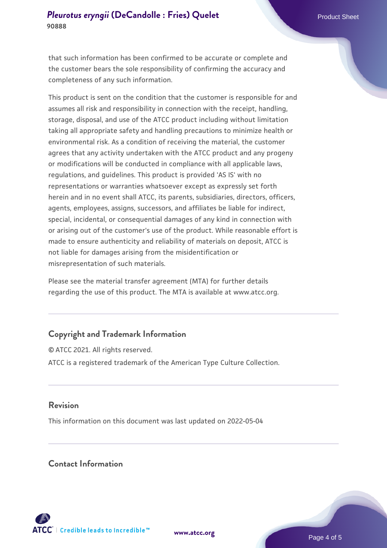that such information has been confirmed to be accurate or complete and the customer bears the sole responsibility of confirming the accuracy and completeness of any such information.

This product is sent on the condition that the customer is responsible for and assumes all risk and responsibility in connection with the receipt, handling, storage, disposal, and use of the ATCC product including without limitation taking all appropriate safety and handling precautions to minimize health or environmental risk. As a condition of receiving the material, the customer agrees that any activity undertaken with the ATCC product and any progeny or modifications will be conducted in compliance with all applicable laws, regulations, and guidelines. This product is provided 'AS IS' with no representations or warranties whatsoever except as expressly set forth herein and in no event shall ATCC, its parents, subsidiaries, directors, officers, agents, employees, assigns, successors, and affiliates be liable for indirect, special, incidental, or consequential damages of any kind in connection with or arising out of the customer's use of the product. While reasonable effort is made to ensure authenticity and reliability of materials on deposit, ATCC is not liable for damages arising from the misidentification or misrepresentation of such materials.

Please see the material transfer agreement (MTA) for further details regarding the use of this product. The MTA is available at www.atcc.org.

# **Copyright and Trademark Information**

© ATCC 2021. All rights reserved. ATCC is a registered trademark of the American Type Culture Collection.

# **Revision**

This information on this document was last updated on 2022-05-04

# **Contact Information**



**[www.atcc.org](http://www.atcc.org)**

Page 4 of 5